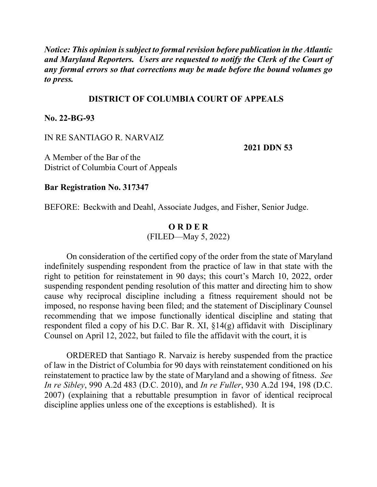*Notice: This opinion is subject to formal revision before publication in the Atlantic and Maryland Reporters. Users are requested to notify the Clerk of the Court of any formal errors so that corrections may be made before the bound volumes go to press.*

### **DISTRICT OF COLUMBIA COURT OF APPEALS**

### **No. 22-BG-93**

#### IN RE SANTIAGO R. NARVAIZ

**2021 DDN 53**

A Member of the Bar of the District of Columbia Court of Appeals

**Bar Registration No. 317347**

BEFORE: Beckwith and Deahl, Associate Judges, and Fisher, Senior Judge.

## **O R D E R**

(FILED—May 5, 2022)

On consideration of the certified copy of the order from the state of Maryland indefinitely suspending respondent from the practice of law in that state with the right to petition for reinstatement in 90 days; this court's March 10, 2022, order suspending respondent pending resolution of this matter and directing him to show cause why reciprocal discipline including a fitness requirement should not be imposed, no response having been filed; and the statement of Disciplinary Counsel recommending that we impose functionally identical discipline and stating that respondent filed a copy of his D.C. Bar R. XI, §14(g) affidavit with Disciplinary Counsel on April 12, 2022, but failed to file the affidavit with the court, it is

ORDERED that Santiago R. Narvaiz is hereby suspended from the practice of law in the District of Columbia for 90 days with reinstatement conditioned on his reinstatement to practice law by the state of Maryland and a showing of fitness. *See In re Sibley*, 990 A.2d 483 (D.C. 2010), and *In re Fuller*, 930 A.2d 194, 198 (D.C. 2007) (explaining that a rebuttable presumption in favor of identical reciprocal discipline applies unless one of the exceptions is established). It is